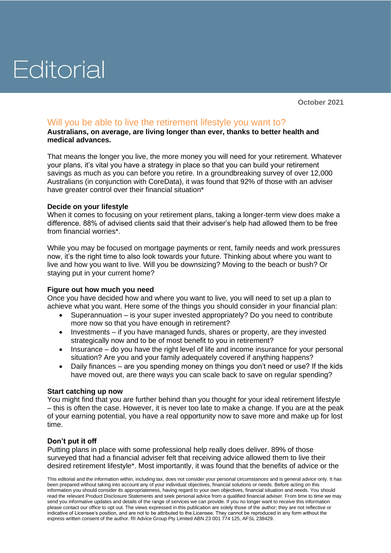# Editorial

**October 2021**

### Will you be able to live the retirement lifestyle you want to?

**Australians, on average, are living longer than ever, thanks to better health and medical advances.**

That means the longer you live, the more money you will need for your retirement. Whatever your plans, it's vital you have a strategy in place so that you can build your retirement savings as much as you can before you retire. In a groundbreaking survey of over 12,000 Australians (in conjunction with CoreData), it was found that 92% of those with an adviser have greater control over their financial situation\*

#### **Decide on your lifestyle**

When it comes to focusing on your retirement plans, taking a longer-term view does make a difference. 88% of advised clients said that their adviser's help had allowed them to be free from financial worries\*.

While you may be focused on mortgage payments or rent, family needs and work pressures now, it's the right time to also look towards your future. Thinking about where you want to live and how you want to live. Will you be downsizing? Moving to the beach or bush? Or staying put in your current home?

#### **Figure out how much you need**

Once you have decided how and where you want to live, you will need to set up a plan to achieve what you want. Here some of the things you should consider in your financial plan:

- Superannuation is your super invested appropriately? Do you need to contribute more now so that you have enough in retirement?
- Investments if you have managed funds, shares or property, are they invested strategically now and to be of most benefit to you in retirement?
- Insurance do you have the right level of life and income insurance for your personal situation? Are you and your family adequately covered if anything happens?
- Daily finances are you spending money on things you don't need or use? If the kids have moved out, are there ways you can scale back to save on regular spending?

#### **Start catching up now**

You might find that you are further behind than you thought for your ideal retirement lifestyle – this is often the case. However, it is never too late to make a change. If you are at the peak of your earning potential, you have a real opportunity now to save more and make up for lost time.

#### **Don't put it off**

Putting plans in place with some professional help really does deliver. 89% of those surveyed that had a financial adviser felt that receiving advice allowed them to live their desired retirement lifestyle\*. Most importantly, it was found that the benefits of advice or the

This editorial and the information within, including tax, does not consider your personal circumstances and is general advice only. It has been prepared without taking into account any of your individual objectives, financial solutions or needs. Before acting on this information you should consider its appropriateness, having regard to your own objectives, financial situation and needs. You should read the relevant Product Disclosure Statements and seek personal advice from a qualified financial adviser. From time to time we may send you informative updates and details of the range of services we can provide. If you no longer want to receive this information please contact our office to opt out. The views expressed in this publication are solely those of the author; they are not reflective or indicative of Licensee's position, and are not to be attributed to the Licensee. They cannot be reproduced in any form without the express written consent of the author. RI Advice Group Pty Limited ABN 23 001 774 125, AFSL 238429.